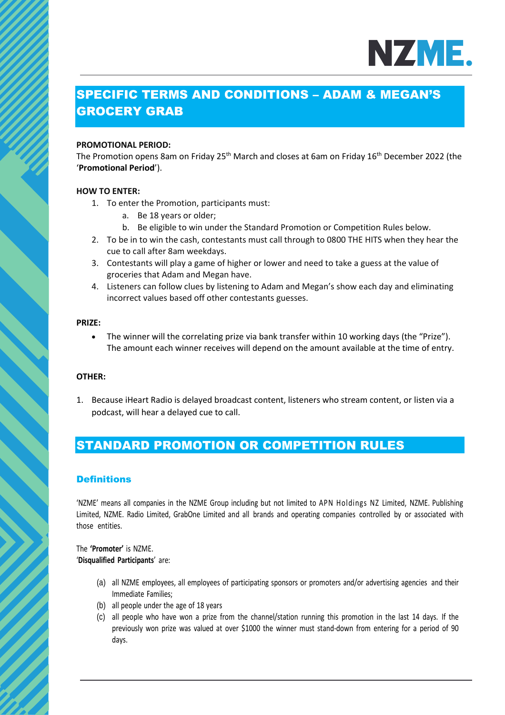

# SPECIFIC TERMS AND CONDITIONS – ADAM & MEGAN'S GROCERY GRAB

#### **PROMOTIONAL PERIOD:**

The Promotion opens 8am on Friday 25<sup>th</sup> March and closes at 6am on Friday 16<sup>th</sup> December 2022 (the '**Promotional Period**').

#### **HOW TO ENTER:**

- 1. To enter the Promotion, participants must:
	- a. Be 18 years or older;
	- b. Be eligible to win under the Standard Promotion or Competition Rules below.
- 2. To be in to win the cash, contestants must call through to 0800 THE HITS when they hear the cue to call after 8am weekdays.
- 3. Contestants will play a game of higher or lower and need to take a guess at the value of groceries that Adam and Megan have.
- 4. Listeners can follow clues by listening to Adam and Megan's show each day and eliminating incorrect values based off other contestants guesses.

#### **PRIZE:**

• The winner will the correlating prize via bank transfer within 10 working days (the "Prize"). The amount each winner receives will depend on the amount available at the time of entry.

#### **OTHER:**

1. Because iHeart Radio is delayed broadcast content, listeners who stream content, or listen via a podcast, will hear a delayed cue to call.

# STANDARD PROMOTION OR COMPETITION RULES

## **Definitions**

'NZME' means all companies in the NZME Group including but not limited to APN Holdings NZ Limited, NZME. Publishing Limited, NZME. Radio Limited, GrabOne Limited and all brands and operating companies controlled by or associated with those entities.

The **'Promoter'** is NZME. '**Disqualified Participants**' are:

- (a) all NZME employees, all employees of participating sponsors or promoters and/or advertising agencies and their Immediate Families;
- (b) all people under the age of 18 years
- (c) all people who have won a prize from the channel/station running this promotion in the last 14 days. If the previously won prize was valued at over \$1000 the winner must stand-down from entering for a period of 90 days.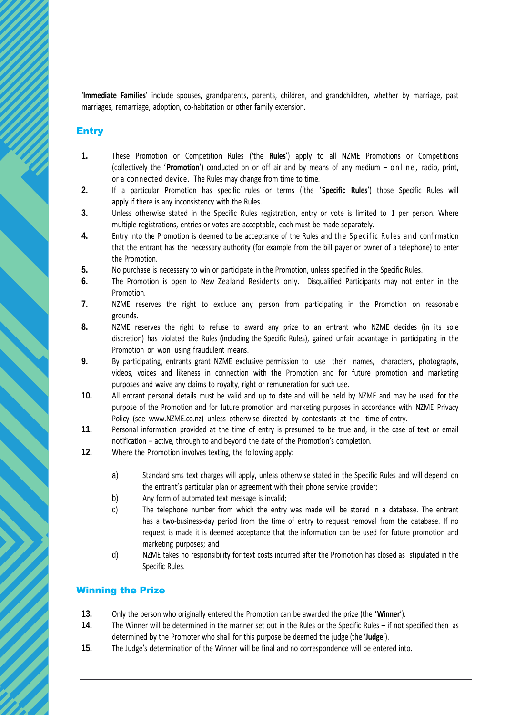'**Immediate Families**' include spouses, grandparents, parents, children, and grandchildren, whether by marriage, past marriages, remarriage, adoption, co-habitation or other family extension.

#### Entry

- **1.** These Promotion or Competition Rules ('the **Rules**') apply to all NZME Promotions or Competitions (collectively the '**Promotion**') conducted on or off air and by means of any medium – online, radio, print, or a connected device. The Rules may change from time to time.
- **2.** If a particular Promotion has specific rules or terms ('the ' **Specific Rules**') those Specific Rules will apply if there is any inconsistency with the Rules.
- **3.** Unless otherwise stated in the Specific Rules registration, entry or vote is limited to 1 per person. Where multiple registrations, entries or votes are acceptable, each must be made separately.
- **4.** Entry into the Promotion is deemed to be acceptance of the Rules and the Specific Rules and confirmation that the entrant has the necessary authority (for example from the bill payer or owner of a telephone) to enter the Promotion.
- **5.** No purchase is necessary to win or participate in the Promotion, unless specified in the Specific Rules.
- **6.** The Promotion is open to New Zealand Residents only. Disqualified Participants may not enter in the Promotion.
- **7.** NZME reserves the right to exclude any person from participating in the Promotion on reasonable grounds.
- **8.** NZME reserves the right to refuse to award any prize to an entrant who NZME decides (in its sole discretion) has violated the Rules (including the Specific Rules), gained unfair advantage in participating in the Promotion or won using fraudulent means.
- **9.** By participating, entrants grant NZME exclusive permission to use their names, characters, photographs, videos, voices and likeness in connection with the Promotion and for future promotion and marketing purposes and waive any claims to royalty, right or remuneration for such use.
- **10.** All entrant personal details must be valid and up to date and will be held by NZME and may be used for the purpose of the Promotion and for future promotion and marketing purposes in accordance with NZME Privacy Policy (see www.NZME.co.nz) unless otherwise directed by contestants at the time of entry.
- **11.** Personal information provided at the time of entry is presumed to be true and, in the case of text or email notification – active, through to and beyond the date of the Promotion's completion.
- **12.** Where the Promotion involves texting, the following apply:
	- a) Standard sms text charges will apply, unless otherwise stated in the Specific Rules and will depend on the entrant's particular plan or agreement with their phone service provider;
	- b) Any form of automated text message is invalid;
	- c) The telephone number from which the entry was made will be stored in a database. The entrant has a two-business-day period from the time of entry to request removal from the database. If no request is made it is deemed acceptance that the information can be used for future promotion and marketing purposes; and
	- d) NZME takes no responsibility for text costs incurred after the Promotion has closed as stipulated in the Specific Rules.

## Winning the Prize

- **13.** Only the person who originally entered the Promotion can be awarded the prize (the '**Winner**').
- **14.** The Winner will be determined in the manner set out in the Rules or the Specific Rules if not specified then as determined by the Promoter who shall for this purpose be deemed the judge (the '**Judge**').
- **15.** The Judge's determination of the Winner will be final and no correspondence will be entered into.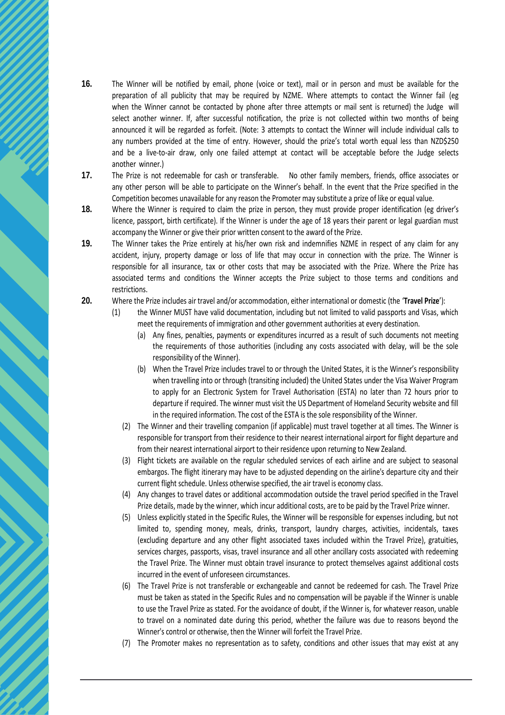- **16.** The Winner will be notified by email, phone (voice or text), mail or in person and must be available for the preparation of all publicity that may be required by NZME. Where attempts to contact the Winner fail (eg when the Winner cannot be contacted by phone after three attempts or mail sent is returned) the Judge will select another winner. If, after successful notification, the prize is not collected within two months of being announced it will be regarded as forfeit. (Note: 3 attempts to contact the Winner will include individual calls to any numbers provided at the time of entry. However, should the prize's total worth equal less than NZD\$250 and be a live-to-air draw, only one failed attempt at contact will be acceptable before the Judge selects another winner.)
- **17.** The Prize is not redeemable for cash or transferable. No other family members, friends, office associates or any other person will be able to participate on the Winner's behalf. In the event that the Prize specified in the Competition becomes unavailable for any reason the Promoter may substitute a prize of like or equal value.
- **18.** Where the Winner is required to claim the prize in person, they must provide proper identification (eg driver's licence, passport, birth certificate). If the Winner is under the age of 18 years their parent or legal guardian must accompany the Winner or give their prior written consent to the award of the Prize.
- **19.** The Winner takes the Prize entirely at his/her own risk and indemnifies NZME in respect of any claim for any accident, injury, property damage or loss of life that may occur in connection with the prize. The Winner is responsible for all insurance, tax or other costs that may be associated with the Prize. Where the Prize has associated terms and conditions the Winner accepts the Prize subject to those terms and conditions and restrictions.
- **20.** Where the Prize includes air travel and/or accommodation, either international or domestic (the '**Travel Prize**'):
	- (1) the Winner MUST have valid documentation, including but not limited to valid passports and Visas, which meet the requirements of immigration and other government authorities at every destination.
		- (a) Any fines, penalties, payments or expenditures incurred as a result of such documents not meeting the requirements of those authorities (including any costs associated with delay, will be the sole responsibility of the Winner).
		- (b) When the Travel Prize includes travel to or through the United States, it is the Winner's responsibility when travelling into or through (transiting included) the United States under the Visa Waiver Program to apply for an Electronic System for Travel Authorisation (ESTA) no later than 72 hours prior to departure if required. The winner must visit the US Department of Homeland Security website and fill in the required information. The cost of the ESTA is the sole responsibility of the Winner.
		- (2) The Winner and their travelling companion (if applicable) must travel together at all times. The Winner is responsible for transport from their residence to their nearest international airport for flight departure and from their nearest international airport to their residence upon returning to New Zealand.
		- (3) Flight tickets are available on the regular scheduled services of each airline and are subject to seasonal embargos. The flight itinerary may have to be adjusted depending on the airline's departure city and their current flight schedule. Unless otherwise specified, the air travel is economy class.
		- (4) Any changes to travel dates or additional accommodation outside the travel period specified in the Travel Prize details, made by the winner, which incur additional costs, are to be paid by the Travel Prize winner.
		- (5) Unless explicitly stated in the Specific Rules, the Winner will be responsible for expenses including, but not limited to, spending money, meals, drinks, transport, laundry charges, activities, incidentals, taxes (excluding departure and any other flight associated taxes included within the Travel Prize), gratuities, services charges, passports, visas, travel insurance and all other ancillary costs associated with redeeming the Travel Prize. The Winner must obtain travel insurance to protect themselves against additional costs incurred in the event of unforeseen circumstances.
		- (6) The Travel Prize is not transferable or exchangeable and cannot be redeemed for cash. The Travel Prize must be taken as stated in the Specific Rules and no compensation will be payable if the Winner is unable to use the Travel Prize as stated. For the avoidance of doubt, if the Winner is, for whatever reason, unable to travel on a nominated date during this period, whether the failure was due to reasons beyond the Winner's control or otherwise, then the Winner will forfeit the Travel Prize.
		- (7) The Promoter makes no representation as to safety, conditions and other issues that may exist at any